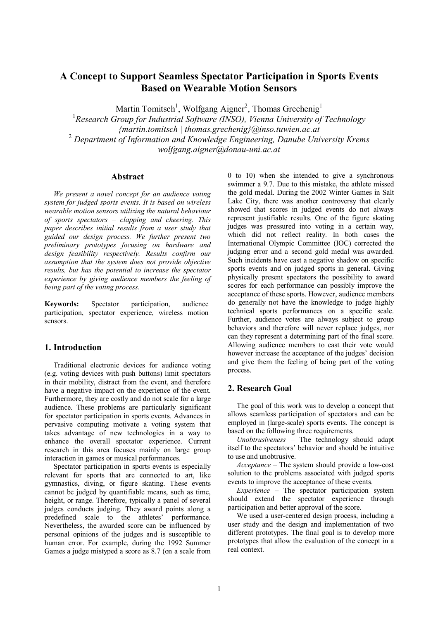# **A Concept to Support Seamless Spectator Participation in Sports Events Based on Wearable Motion Sensors**

Martin Tomitsch<sup>1</sup>, Wolfgang Aigner<sup>2</sup>, Thomas Grechenig<sup>1</sup>

<sup>1</sup> Research Group for Industrial Software (INSO), Vienna University of Technology *{martin.tomitsch | thomas.grechenig}@inso.tuwien.ac.at*  <sup>2</sup> *Department of Information and Knowledge Engineering, Danube University Krems wolfgang.aigner@donau-uni.ac.at* 

## **Abstract**

*We present a novel concept for an audience voting system for judged sports events. It is based on wireless wearable motion sensors utilizing the natural behaviour of sports spectators – clapping and cheering. This paper describes initial results from a user study that guided our design process. We further present two preliminary prototypes focusing on hardware and design feasibility respectively. Results confirm our assumption that the system does not provide objective results, but has the potential to increase the spectator experience by giving audience members the feeling of being part of the voting process.* 

**Keywords:** Spectator participation, audience participation, spectator experience, wireless motion sensors.

## **1. Introduction**

Traditional electronic devices for audience voting (e.g. voting devices with push buttons) limit spectators in their mobility, distract from the event, and therefore have a negative impact on the experience of the event. Furthermore, they are costly and do not scale for a large audience. These problems are particularly significant for spectator participation in sports events. Advances in pervasive computing motivate a voting system that takes advantage of new technologies in a way to enhance the overall spectator experience. Current research in this area focuses mainly on large group interaction in games or musical performances.

Spectator participation in sports events is especially relevant for sports that are connected to art, like gymnastics, diving, or figure skating. These events cannot be judged by quantifiable means, such as time, height, or range. Therefore, typically a panel of several judges conducts judging. They award points along a predefined scale to the athletes' performance. Nevertheless, the awarded score can be influenced by personal opinions of the judges and is susceptible to human error. For example, during the 1992 Summer Games a judge mistyped a score as 8.7 (on a scale from

0 to 10) when she intended to give a synchronous swimmer a 9.7. Due to this mistake, the athlete missed the gold medal. During the 2002 Winter Games in Salt Lake City, there was another controversy that clearly showed that scores in judged events do not always represent justifiable results. One of the figure skating judges was pressured into voting in a certain way, which did not reflect reality. In both cases the International Olympic Committee (IOC) corrected the judging error and a second gold medal was awarded. Such incidents have cast a negative shadow on specific sports events and on judged sports in general. Giving physically present spectators the possibility to award scores for each performance can possibly improve the acceptance of these sports. However, audience members do generally not have the knowledge to judge highly technical sports performances on a specific scale. Further, audience votes are always subject to group behaviors and therefore will never replace judges, nor can they represent a determining part of the final score. Allowing audience members to cast their vote would however increase the acceptance of the judges' decision and give them the feeling of being part of the voting process.

#### **2. Research Goal**

The goal of this work was to develop a concept that allows seamless participation of spectators and can be employed in (large-scale) sports events. The concept is based on the following three requirements.

*Unobtrusiveness* – The technology should adapt itself to the spectators' behavior and should be intuitive to use and unobtrusive.

*Acceptance* – The system should provide a low-cost solution to the problems associated with judged sports events to improve the acceptance of these events.

*Experience* – The spectator participation system should extend the spectator experience through participation and better approval of the score.

We used a user-centered design process, including a user study and the design and implementation of two different prototypes. The final goal is to develop more prototypes that allow the evaluation of the concept in a real context.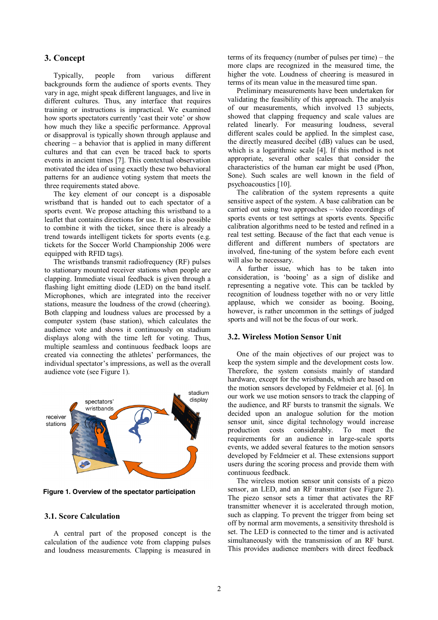## **3. Concept**

Typically, people from various different backgrounds form the audience of sports events. They vary in age, might speak different languages, and live in different cultures. Thus, any interface that requires training or instructions is impractical. We examined how sports spectators currently 'cast their vote' or show how much they like a specific performance. Approval or disapproval is typically shown through applause and cheering – a behavior that is applied in many different cultures and that can even be traced back to sports events in ancient times [7]. This contextual observation motivated the idea of using exactly these two behavioral patterns for an audience voting system that meets the three requirements stated above.

The key element of our concept is a disposable wristband that is handed out to each spectator of a sports event. We propose attaching this wristband to a leaflet that contains directions for use. It is also possible to combine it with the ticket, since there is already a trend towards intelligent tickets for sports events (e.g. tickets for the Soccer World Championship 2006 were equipped with RFID tags).

The wristbands transmit radiofrequency (RF) pulses to stationary mounted receiver stations when people are clapping. Immediate visual feedback is given through a flashing light emitting diode (LED) on the band itself. Microphones, which are integrated into the receiver stations, measure the loudness of the crowd (cheering). Both clapping and loudness values are processed by a computer system (base station), which calculates the audience vote and shows it continuously on stadium displays along with the time left for voting. Thus, multiple seamless and continuous feedback loops are created via connecting the athletes' performances, the individual spectator's impressions, as well as the overall audience vote (see Figure 1).



**Figure 1. Overview of the spectator participation** 

#### **3.1. Score Calculation**

A central part of the proposed concept is the calculation of the audience vote from clapping pulses and loudness measurements. Clapping is measured in

terms of its frequency (number of pulses per time) – the more claps are recognized in the measured time, the higher the vote. Loudness of cheering is measured in terms of its mean value in the measured time span.

Preliminary measurements have been undertaken for validating the feasibility of this approach. The analysis of our measurements, which involved 13 subjects, showed that clapping frequency and scale values are related linearly. For measuring loudness, several different scales could be applied. In the simplest case, the directly measured decibel (dB) values can be used, which is a logarithmic scale [4]. If this method is not appropriate, several other scales that consider the characteristics of the human ear might be used (Phon, Sone). Such scales are well known in the field of psychoacoustics [10].

The calibration of the system represents a quite sensitive aspect of the system. A base calibration can be carried out using two approaches – video recordings of sports events or test settings at sports events. Specific calibration algorithms need to be tested and refined in a real test setting. Because of the fact that each venue is different and different numbers of spectators are involved, fine-tuning of the system before each event will also be necessary.

A further issue, which has to be taken into consideration, is 'booing' as a sign of dislike and representing a negative vote. This can be tackled by recognition of loudness together with no or very little applause, which we consider as booing. Booing, however, is rather uncommon in the settings of judged sports and will not be the focus of our work.

#### **3.2. Wireless Motion Sensor Unit**

One of the main objectives of our project was to keep the system simple and the development costs low. Therefore, the system consists mainly of standard hardware, except for the wristbands, which are based on the motion sensors developed by Feldmeier et al. [6]. In our work we use motion sensors to track the clapping of the audience, and RF bursts to transmit the signals. We decided upon an analogue solution for the motion sensor unit, since digital technology would increase production costs considerably. To meet the requirements for an audience in large-scale sports events, we added several features to the motion sensors developed by Feldmeier et al. These extensions support users during the scoring process and provide them with continuous feedback.

The wireless motion sensor unit consists of a piezo sensor, an LED, and an RF transmitter (see Figure 2). The piezo sensor sets a timer that activates the RF transmitter whenever it is accelerated through motion, such as clapping. To prevent the trigger from being set off by normal arm movements, a sensitivity threshold is set. The LED is connected to the timer and is activated simultaneously with the transmission of an RF burst. This provides audience members with direct feedback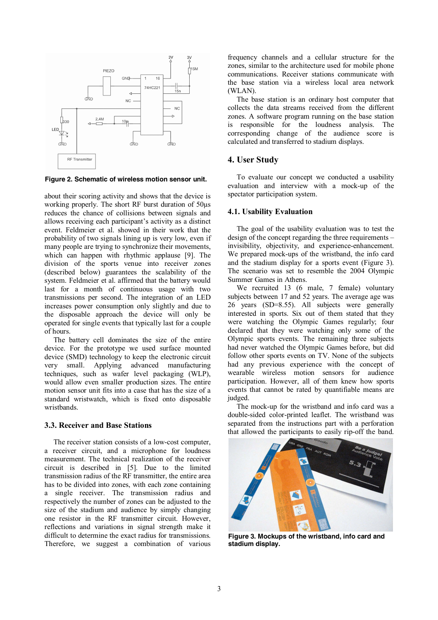

**Figure 2. Schematic of wireless motion sensor unit.** 

about their scoring activity and shows that the device is working properly. The short RF burst duration of 50µs reduces the chance of collisions between signals and allows receiving each participant's activity as a distinct event. Feldmeier et al. showed in their work that the probability of two signals lining up is very low, even if many people are trying to synchronize their movements, which can happen with rhythmic applause [9]. The division of the sports venue into receiver zones (described below) guarantees the scalability of the system. Feldmeier et al. affirmed that the battery would last for a month of continuous usage with two transmissions per second. The integration of an LED increases power consumption only slightly and due to the disposable approach the device will only be operated for single events that typically last for a couple of hours.

The battery cell dominates the size of the entire device. For the prototype we used surface mounted device (SMD) technology to keep the electronic circuit very small. Applying advanced manufacturing techniques, such as wafer level packaging (WLP), would allow even smaller production sizes. The entire motion sensor unit fits into a case that has the size of a standard wristwatch, which is fixed onto disposable wristbands.

#### **3.3. Receiver and Base Stations**

The receiver station consists of a low-cost computer, a receiver circuit, and a microphone for loudness measurement. The technical realization of the receiver circuit is described in [5]. Due to the limited transmission radius of the RF transmitter, the entire area has to be divided into zones, with each zone containing a single receiver. The transmission radius and respectively the number of zones can be adjusted to the size of the stadium and audience by simply changing one resistor in the RF transmitter circuit. However, reflections and variations in signal strength make it difficult to determine the exact radius for transmissions. Therefore, we suggest a combination of various

frequency channels and a cellular structure for the zones, similar to the architecture used for mobile phone communications. Receiver stations communicate with the base station via a wireless local area network (WLAN).

The base station is an ordinary host computer that collects the data streams received from the different zones. A software program running on the base station is responsible for the loudness analysis. The corresponding change of the audience score is calculated and transferred to stadium displays.

## **4. User Study**

To evaluate our concept we conducted a usability evaluation and interview with a mock-up of the spectator participation system.

## **4.1. Usability Evaluation**

The goal of the usability evaluation was to test the design of the concept regarding the three requirements – invisibility, objectivity, and experience-enhancement. We prepared mock-ups of the wristband, the info card and the stadium display for a sports event (Figure 3). The scenario was set to resemble the 2004 Olympic Summer Games in Athens.

We recruited 13 (6 male, 7 female) voluntary subjects between 17 and 52 years. The average age was 26 years (SD=8.55). All subjects were generally interested in sports. Six out of them stated that they were watching the Olympic Games regularly; four declared that they were watching only some of the Olympic sports events. The remaining three subjects had never watched the Olympic Games before, but did follow other sports events on TV. None of the subjects had any previous experience with the concept of wearable wireless motion sensors for audience participation. However, all of them knew how sports events that cannot be rated by quantifiable means are judged.

The mock-up for the wristband and info card was a double-sided color-printed leaflet. The wristband was separated from the instructions part with a perforation that allowed the participants to easily rip-off the band.



**Figure 3. Mockups of the wristband, info card and stadium display.**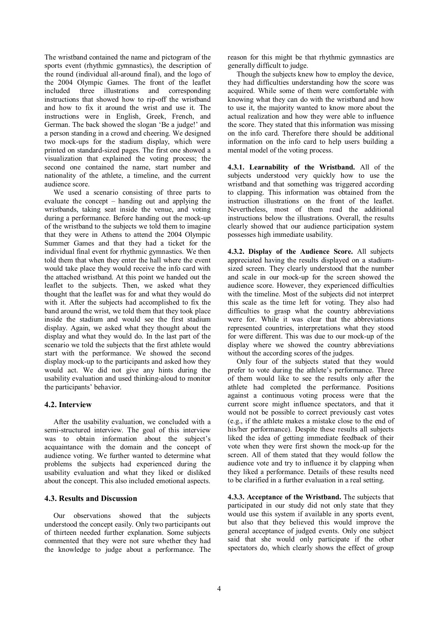The wristband contained the name and pictogram of the sports event (rhythmic gymnastics), the description of the round (individual all-around final), and the logo of the 2004 Olympic Games. The front of the leaflet included three illustrations and corresponding instructions that showed how to rip-off the wristband and how to fix it around the wrist and use it. The instructions were in English, Greek, French, and German. The back showed the slogan 'Be a judge!' and a person standing in a crowd and cheering. We designed two mock-ups for the stadium display, which were printed on standard-sized pages. The first one showed a visualization that explained the voting process; the second one contained the name, start number and nationality of the athlete, a timeline, and the current audience score.

We used a scenario consisting of three parts to evaluate the concept – handing out and applying the wristbands, taking seat inside the venue, and voting during a performance. Before handing out the mock-up of the wristband to the subjects we told them to imagine that they were in Athens to attend the 2004 Olympic Summer Games and that they had a ticket for the individual final event for rhythmic gymnastics. We then told them that when they enter the hall where the event would take place they would receive the info card with the attached wristband. At this point we handed out the leaflet to the subjects. Then, we asked what they thought that the leaflet was for and what they would do with it. After the subjects had accomplished to fix the band around the wrist, we told them that they took place inside the stadium and would see the first stadium display. Again, we asked what they thought about the display and what they would do. In the last part of the scenario we told the subjects that the first athlete would start with the performance. We showed the second display mock-up to the participants and asked how they would act. We did not give any hints during the usability evaluation and used thinking-aloud to monitor the participants' behavior.

#### **4.2. Interview**

After the usability evaluation, we concluded with a semi-structured interview. The goal of this interview was to obtain information about the subject's acquaintance with the domain and the concept of audience voting. We further wanted to determine what problems the subjects had experienced during the usability evaluation and what they liked or disliked about the concept. This also included emotional aspects.

#### **4.3. Results and Discussion**

Our observations showed that the subjects understood the concept easily. Only two participants out of thirteen needed further explanation. Some subjects commented that they were not sure whether they had the knowledge to judge about a performance. The reason for this might be that rhythmic gymnastics are generally difficult to judge.

Though the subjects knew how to employ the device, they had difficulties understanding how the score was acquired. While some of them were comfortable with knowing what they can do with the wristband and how to use it, the majority wanted to know more about the actual realization and how they were able to influence the score. They stated that this information was missing on the info card. Therefore there should be additional information on the info card to help users building a mental model of the voting process.

**4.3.1. Learnability of the Wristband.** All of the subjects understood very quickly how to use the wristband and that something was triggered according to clapping. This information was obtained from the instruction illustrations on the front of the leaflet. Nevertheless, most of them read the additional instructions below the illustrations. Overall, the results clearly showed that our audience participation system possesses high immediate usability.

**4.3.2. Display of the Audience Score.** All subjects appreciated having the results displayed on a stadiumsized screen. They clearly understood that the number and scale in our mock-up for the screen showed the audience score. However, they experienced difficulties with the timeline. Most of the subjects did not interpret this scale as the time left for voting. They also had difficulties to grasp what the country abbreviations were for. While it was clear that the abbreviations represented countries, interpretations what they stood for were different. This was due to our mock-up of the display where we showed the country abbreviations without the according scores of the judges.

Only four of the subjects stated that they would prefer to vote during the athlete's performance. Three of them would like to see the results only after the athlete had completed the performance. Positions against a continuous voting process were that the current score might influence spectators, and that it would not be possible to correct previously cast votes (e.g., if the athlete makes a mistake close to the end of his/her performance). Despite these results all subjects liked the idea of getting immediate feedback of their vote when they were first shown the mock-up for the screen. All of them stated that they would follow the audience vote and try to influence it by clapping when they liked a performance. Details of these results need to be clarified in a further evaluation in a real setting.

**4.3.3. Acceptance of the Wristband.** The subjects that participated in our study did not only state that they would use this system if available in any sports event, but also that they believed this would improve the general acceptance of judged events. Only one subject said that she would only participate if the other spectators do, which clearly shows the effect of group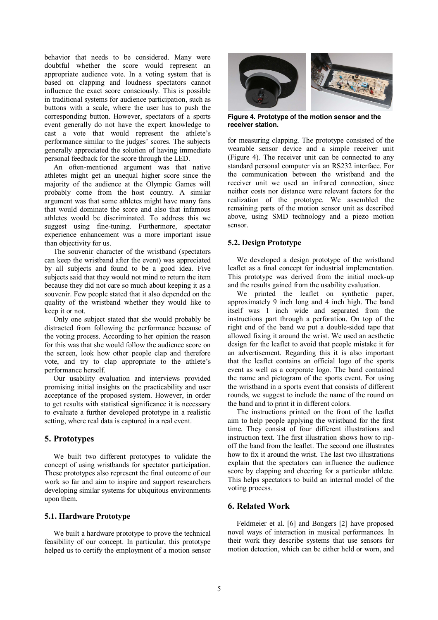behavior that needs to be considered. Many were doubtful whether the score would represent an appropriate audience vote. In a voting system that is based on clapping and loudness spectators cannot influence the exact score consciously. This is possible in traditional systems for audience participation, such as buttons with a scale, where the user has to push the corresponding button. However, spectators of a sports event generally do not have the expert knowledge to cast a vote that would represent the athlete's performance similar to the judges' scores. The subjects generally appreciated the solution of having immediate personal feedback for the score through the LED.

An often-mentioned argument was that native athletes might get an unequal higher score since the majority of the audience at the Olympic Games will probably come from the host country. A similar argument was that some athletes might have many fans that would dominate the score and also that infamous athletes would be discriminated. To address this we suggest using fine-tuning. Furthermore, spectator experience enhancement was a more important issue than objectivity for us.

The souvenir character of the wristband (spectators can keep the wristband after the event) was appreciated by all subjects and found to be a good idea. Five subjects said that they would not mind to return the item because they did not care so much about keeping it as a souvenir. Few people stated that it also depended on the quality of the wristband whether they would like to keep it or not.

Only one subject stated that she would probably be distracted from following the performance because of the voting process. According to her opinion the reason for this was that she would follow the audience score on the screen, look how other people clap and therefore vote, and try to clap appropriate to the athlete's performance herself.

Our usability evaluation and interviews provided promising initial insights on the practicability and user acceptance of the proposed system. However, in order to get results with statistical significance it is necessary to evaluate a further developed prototype in a realistic setting, where real data is captured in a real event.

#### **5. Prototypes**

We built two different prototypes to validate the concept of using wristbands for spectator participation. These prototypes also represent the final outcome of our work so far and aim to inspire and support researchers developing similar systems for ubiquitous environments upon them.

#### **5.1. Hardware Prototype**

We built a hardware prototype to prove the technical feasibility of our concept. In particular, this prototype helped us to certify the employment of a motion sensor



**Figure 4. Prototype of the motion sensor and the receiver station.** 

for measuring clapping. The prototype consisted of the wearable sensor device and a simple receiver unit (Figure 4). The receiver unit can be connected to any standard personal computer via an RS232 interface. For the communication between the wristband and the receiver unit we used an infrared connection, since neither costs nor distance were relevant factors for the realization of the prototype. We assembled the remaining parts of the motion sensor unit as described above, using SMD technology and a piezo motion sensor.

## **5.2. Design Prototype**

We developed a design prototype of the wristband leaflet as a final concept for industrial implementation. This prototype was derived from the initial mock-up and the results gained from the usability evaluation.

We printed the leaflet on synthetic paper, approximately 9 inch long and 4 inch high. The band itself was 1 inch wide and separated from the instructions part through a perforation. On top of the right end of the band we put a double-sided tape that allowed fixing it around the wrist. We used an aesthetic design for the leaflet to avoid that people mistake it for an advertisement. Regarding this it is also important that the leaflet contains an official logo of the sports event as well as a corporate logo. The band contained the name and pictogram of the sports event. For using the wristband in a sports event that consists of different rounds, we suggest to include the name of the round on the band and to print it in different colors.

The instructions printed on the front of the leaflet aim to help people applying the wristband for the first time. They consist of four different illustrations and instruction text. The first illustration shows how to ripoff the band from the leaflet. The second one illustrates how to fix it around the wrist. The last two illustrations explain that the spectators can influence the audience score by clapping and cheering for a particular athlete. This helps spectators to build an internal model of the voting process.

#### **6. Related Work**

Feldmeier et al. [6] and Bongers [2] have proposed novel ways of interaction in musical performances. In their work they describe systems that use sensors for motion detection, which can be either held or worn, and